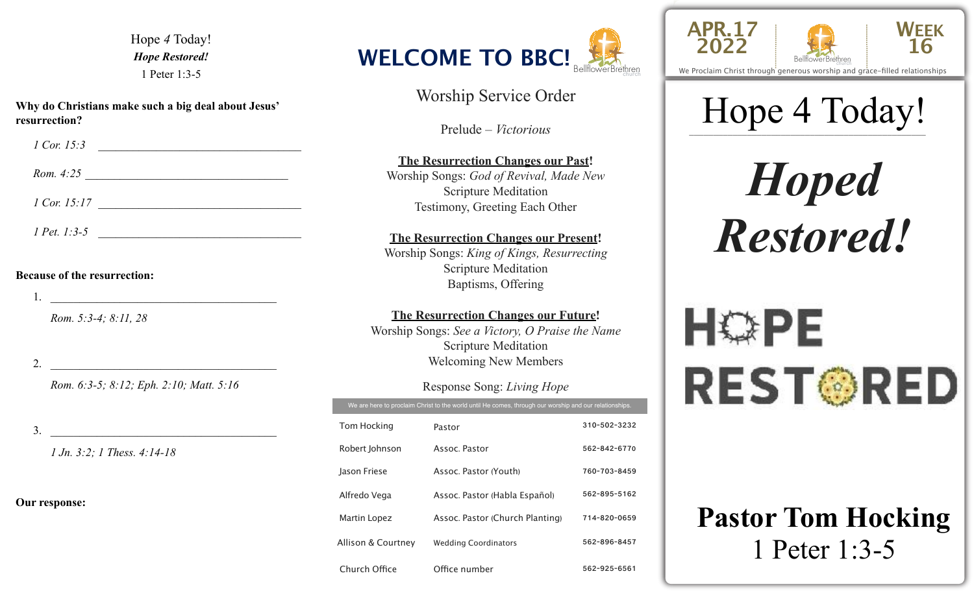Hope *4* Today! *Hope Restored!*  1 Peter 1:3-5

#### **Why do Christians make such a big deal about Jesus' resurrection?**

| 1 Cor. 15:3        |
|--------------------|
| <i>Rom.</i> $4:25$ |
| $1$ Cor. $15:17$   |
| $1$ Pet. 1:3-5     |

#### **Because of the resurrection:**

1. \_\_\_\_\_\_\_\_\_\_\_\_\_\_\_\_\_\_\_\_\_\_\_\_\_\_\_\_\_\_\_\_\_\_\_\_\_\_\_

*Rom. 5:3-4; 8:11, 28* 

*Rom. 6:3-5; 8:12; Eph. 2:10; Matt. 5:16* 

 $3.$ 

*1 Jn. 3:2; 1 Thess. 4:14-18* 

**Our response:** 



Worship Service Order

Prelude – *Victorious*

#### **The Resurrection Changes our Past!**

Worship Songs: *God of Revival, Made New*  Scripture Meditation Testimony, Greeting Each Other

#### **The Resurrection Changes our Present!**

Worship Songs: *King of Kings, Resurrecting*  Scripture Meditation Baptisms, Offering

#### **The Resurrection Changes our Future!**

Worship Songs: *See a Victory, O Praise the Name* Scripture Meditation Welcoming New Members

Response Song: *Living Hope*

| We are here to proclaim Christ to the world until He comes, through our worship and our relationships. |                                 |              |  |  |
|--------------------------------------------------------------------------------------------------------|---------------------------------|--------------|--|--|
| <b>Tom Hocking</b>                                                                                     | Pastor                          | 310-502-3232 |  |  |
| Robert Johnson                                                                                         | Assoc, Pastor                   | 562-842-6770 |  |  |
| Jason Friese                                                                                           | Assoc. Pastor (Youth)           | 760-703-8459 |  |  |
| Alfredo Vega                                                                                           | Assoc. Pastor (Habla Español)   | 562-895-5162 |  |  |
| Martin Lopez                                                                                           | Assoc. Pastor (Church Planting) | 714-820-0659 |  |  |
| Allison & Courtney                                                                                     | <b>Wedding Coordinators</b>     | 562-896-8457 |  |  |
| Church Office                                                                                          | Office number                   | 562-925-6561 |  |  |





\_\_\_\_\_\_\_\_\_\_\_\_\_\_\_\_\_\_\_\_\_\_\_\_\_\_\_\_\_\_\_\_\_\_\_\_\_\_\_\_\_\_\_\_\_\_\_\_\_ Hope 4 Today!

*Hoped Restored!*

# HOPE **REST®RED**

### **Pastor Tom Hocking**  1 Peter 1:3-5